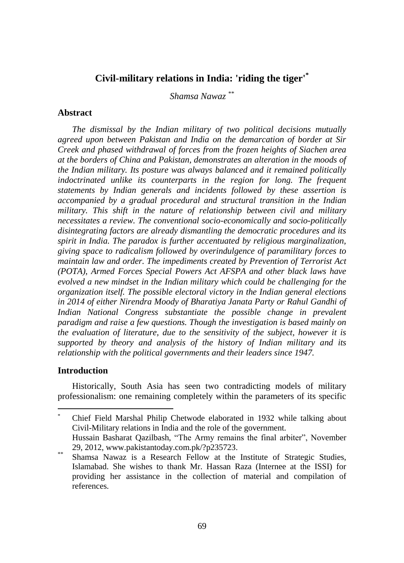# **Civil-military relations in India: 'riding the tiger'\***

*Shamsa Nawaz* \*\*

## **Abstract**

*The dismissal by the Indian military of two political decisions mutually agreed upon between Pakistan and India on the demarcation of border at Sir Creek and phased withdrawal of forces from the frozen heights of Siachen area at the borders of China and Pakistan, demonstrates an alteration in the moods of the Indian military. Its posture was always balanced and it remained politically indoctrinated unlike its counterparts in the region for long. The frequent statements by Indian generals and incidents followed by these assertion is accompanied by a gradual procedural and structural transition in the Indian military. This shift in the nature of relationship between civil and military necessitates a review. The conventional socio-economically and socio-politically disintegrating factors are already dismantling the democratic procedures and its spirit in India. The paradox is further accentuated by religious marginalization, giving space to radicalism followed by overindulgence of paramilitary forces to maintain law and order. The impediments created by Prevention of Terrorist Act (POTA), Armed Forces Special Powers Act AFSPA and other black laws have evolved a new mindset in the Indian military which could be challenging for the organization itself. The possible electoral victory in the Indian general elections in 2014 of either Nirendra Moody of Bharatiya Janata Party or Rahul Gandhi of Indian National Congress substantiate the possible change in prevalent paradigm and raise a few questions. Though the investigation is based mainly on the evaluation of literature, due to the sensitivity of the subject, however it is supported by theory and analysis of the history of Indian military and its relationship with the political governments and their leaders since 1947.*

# **Introduction**

 $\overline{a}$ 

Historically, South Asia has seen two contradicting models of military professionalism: one remaining completely within the parameters of its specific

<sup>\*</sup> Chief Field Marshal Philip Chetwode elaborated in 1932 while talking about Civil-Military relations in India and the role of the government. Hussain Basharat Qazilbash, "The Army remains the final arbiter", November 29, 2012, www.pakistantoday.com.pk/?p235723.

<sup>&</sup>lt;sup>\*\*</sup> Shamsa Nawaz is a Research Fellow at the Institute of Strategic Studies, Islamabad. She wishes to thank Mr. Hassan Raza (Internee at the ISSI) for providing her assistance in the collection of material and compilation of references.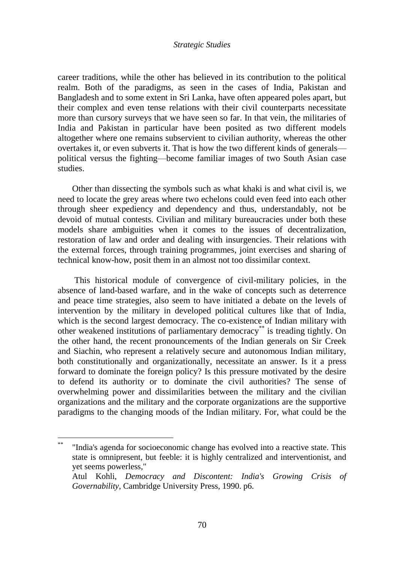career traditions, while the other has believed in its contribution to the political realm. Both of the paradigms, as seen in the cases of India, Pakistan and Bangladesh and to some extent in Sri Lanka, have often appeared poles apart, but their complex and even tense relations with their civil counterparts necessitate more than cursory surveys that we have seen so far. In that vein, the militaries of India and Pakistan in particular have been posited as two different models altogether where one remains subservient to civilian authority, whereas the other overtakes it, or even subverts it. That is how the two different kinds of generals political versus the fighting—become familiar images of two South Asian case studies.

Other than dissecting the symbols such as what khaki is and what civil is, we need to locate the grey areas where two echelons could even feed into each other through sheer expediency and dependency and thus, understandably, not be devoid of mutual contests. Civilian and military bureaucracies under both these models share ambiguities when it comes to the issues of decentralization, restoration of law and order and dealing with insurgencies. Their relations with the external forces, through training programmes, joint exercises and sharing of technical know-how, posit them in an almost not too dissimilar context.

This historical module of convergence of civil-military policies, in the absence of land-based warfare, and in the wake of concepts such as deterrence and peace time strategies, also seem to have initiated a debate on the levels of intervention by the military in developed political cultures like that of India, which is the second largest democracy. The co-existence of Indian military with other weakened institutions of parliamentary democracy\*\* is treading tightly. On the other hand, the recent pronouncements of the Indian generals on Sir Creek and Siachin, who represent a relatively secure and autonomous Indian military, both constitutionally and organizationally, necessitate an answer. Is it a press forward to dominate the foreign policy? Is this pressure motivated by the desire to defend its authority or to dominate the civil authorities? The sense of overwhelming power and dissimilarities between the military and the civilian organizations and the military and the corporate organizations are the supportive paradigms to the changing moods of the Indian military. For, what could be the

 $\overline{a}$ 

<sup>&</sup>quot;India's agenda for socioeconomic change has evolved into a reactive state. This state is omnipresent, but feeble: it is highly centralized and interventionist, and yet seems powerless,"

Atul Kohli, *Democracy and Discontent: India's Growing Crisis of Governability*, Cambridge University Press, 1990. p6.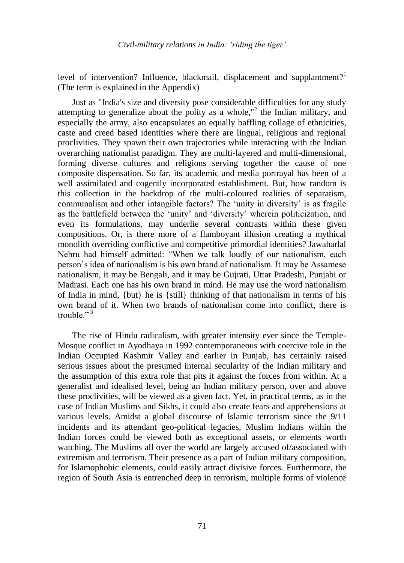level of intervention? Influence, blackmail, displacement and supplantment?<sup>1</sup> (The term is explained in the Appendix)

Just as "India's size and diversity pose considerable difficulties for any study attempting to generalize about the polity as a whole,"<sup>2</sup> the Indian military, and especially the army, also encapsulates an equally baffling collage of ethnicities, caste and creed based identities where there are lingual, religious and regional proclivities. They spawn their own trajectories while interacting with the Indian overarching nationalist paradigm. They are multi-layered and multi-dimensional, forming diverse cultures and religions serving together the cause of one composite dispensation. So far, its academic and media portrayal has been of a well assimilated and cogently incorporated establishment. But, how random is this collection in the backdrop of the multi-coloured realities of separatism, communalism and other intangible factors? The "unity in diversity" is as fragile as the battlefield between the "unity" and "diversity" wherein politicization, and even its formulations, may underlie several contrasts within these given compositions. Or, is there more of a flamboyant illusion creating a mythical monolith overriding conflictive and competitive primordial identities? Jawaharlal Nehru had himself admitted: "When we talk loudly of our nationalism, each person"s idea of nationalism is his own brand of nationalism. It may be Assamese nationalism, it may be Bengali, and it may be Gujrati, Uttar Pradeshi, Punjabi or Madrasi. Each one has his own brand in mind. He may use the word nationalism of India in mind, {but} he is {still} thinking of that nationalism in terms of his own brand of it. When two brands of nationalism come into conflict, there is trouble." $3$ 

The rise of Hindu radicalism, with greater intensity ever since the Temple-Mosque conflict in Ayodhaya in 1992 contemporaneous with coercive role in the Indian Occupied Kashmir Valley and earlier in Punjab, has certainly raised serious issues about the presumed internal secularity of the Indian military and the assumption of this extra role that pits it against the forces from within. At a generalist and idealised level, being an Indian military person, over and above these proclivities, will be viewed as a given fact. Yet, in practical terms, as in the case of Indian Muslims and Sikhs, it could also create fears and apprehensions at various levels. Amidst a global discourse of Islamic terrorism since the 9/11 incidents and its attendant geo-political legacies, Muslim Indians within the Indian forces could be viewed both as exceptional assets, or elements worth watching. The Muslims all over the world are largely accused of/associated with extremism and terrorism. Their presence as a part of Indian military composition, for Islamophobic elements, could easily attract divisive forces. Furthermore, the region of South Asia is entrenched deep in terrorism, multiple forms of violence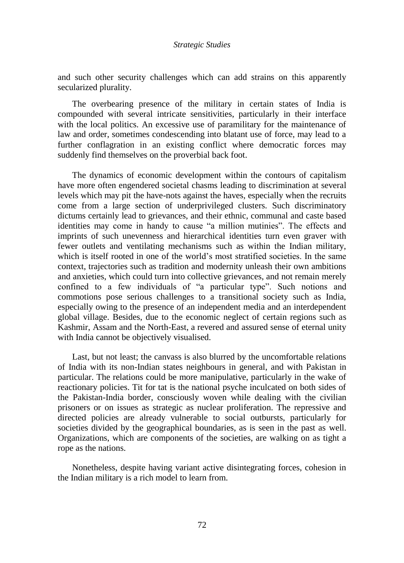and such other security challenges which can add strains on this apparently secularized plurality.

The overbearing presence of the military in certain states of India is compounded with several intricate sensitivities, particularly in their interface with the local politics. An excessive use of paramilitary for the maintenance of law and order, sometimes condescending into blatant use of force, may lead to a further conflagration in an existing conflict where democratic forces may suddenly find themselves on the proverbial back foot.

The dynamics of economic development within the contours of capitalism have more often engendered societal chasms leading to discrimination at several levels which may pit the have-nots against the haves, especially when the recruits come from a large section of underprivileged clusters. Such discriminatory dictums certainly lead to grievances, and their ethnic, communal and caste based identities may come in handy to cause "a million mutinies". The effects and imprints of such unevenness and hierarchical identities turn even graver with fewer outlets and ventilating mechanisms such as within the Indian military, which is itself rooted in one of the world's most stratified societies. In the same context, trajectories such as tradition and modernity unleash their own ambitions and anxieties, which could turn into collective grievances, and not remain merely confined to a few individuals of "a particular type". Such notions and commotions pose serious challenges to a transitional society such as India, especially owing to the presence of an independent media and an interdependent global village. Besides, due to the economic neglect of certain regions such as Kashmir, Assam and the North-East, a revered and assured sense of eternal unity with India cannot be objectively visualised.

Last, but not least; the canvass is also blurred by the uncomfortable relations of India with its non-Indian states neighbours in general, and with Pakistan in particular. The relations could be more manipulative, particularly in the wake of reactionary policies. Tit for tat is the national psyche inculcated on both sides of the Pakistan-India border, consciously woven while dealing with the civilian prisoners or on issues as strategic as nuclear proliferation. The repressive and directed policies are already vulnerable to social outbursts, particularly for societies divided by the geographical boundaries, as is seen in the past as well. Organizations, which are components of the societies, are walking on as tight a rope as the nations.

Nonetheless, despite having variant active disintegrating forces, cohesion in the Indian military is a rich model to learn from.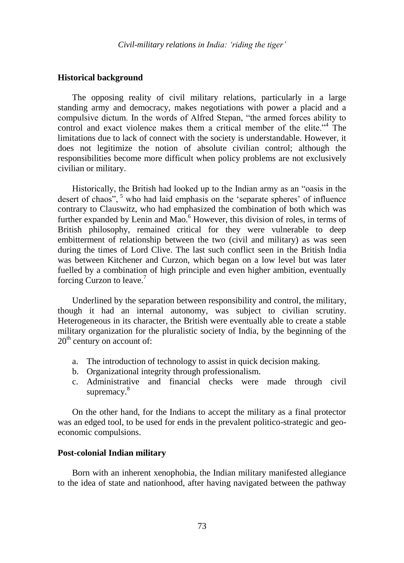### **Historical background**

The opposing reality of civil military relations, particularly in a large standing army and democracy, makes negotiations with power a placid and a compulsive dictum. In the words of Alfred Stepan, "the armed forces ability to control and exact violence makes them a critical member of the elite."<sup>4</sup> The limitations due to lack of connect with the society is understandable. However, it does not legitimize the notion of absolute civilian control; although the responsibilities become more difficult when policy problems are not exclusively civilian or military.

Historically, the British had looked up to the Indian army as an "oasis in the desert of chaos", <sup>5</sup> who had laid emphasis on the 'separate spheres' of influence contrary to Clauswitz, who had emphasized the combination of both which was further expanded by Lenin and Mao. $<sup>6</sup>$  However, this division of roles, in terms of</sup> British philosophy, remained critical for they were vulnerable to deep embitterment of relationship between the two (civil and military) as was seen during the times of Lord Clive. The last such conflict seen in the British India was between Kitchener and Curzon, which began on a low level but was later fuelled by a combination of high principle and even higher ambition, eventually forcing Curzon to leave. $\prime$ 

Underlined by the separation between responsibility and control, the military, though it had an internal autonomy, was subject to civilian scrutiny. Heterogeneous in its character, the British were eventually able to create a stable military organization for the pluralistic society of India, by the beginning of the  $20<sup>th</sup>$  century on account of:

- a. The introduction of technology to assist in quick decision making.
- b. Organizational integrity through professionalism.
- c. Administrative and financial checks were made through civil supremacy.<sup>8</sup>

On the other hand, for the Indians to accept the military as a final protector was an edged tool, to be used for ends in the prevalent politico-strategic and geoeconomic compulsions.

# **Post-colonial Indian military**

Born with an inherent xenophobia, the Indian military manifested allegiance to the idea of state and nationhood, after having navigated between the pathway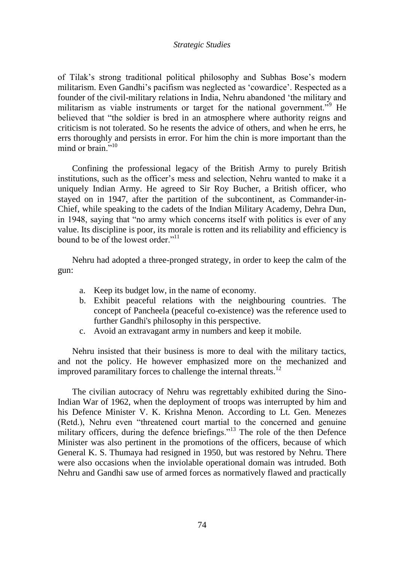of Tilak"s strong traditional political philosophy and Subhas Bose"s modern militarism. Even Gandhi"s pacifism was neglected as "cowardice". Respected as a founder of the civil-military relations in India, Nehru abandoned "the military and militarism as viable instruments or target for the national government.<sup>"9</sup> He believed that "the soldier is bred in an atmosphere where authority reigns and criticism is not tolerated. So he resents the advice of others, and when he errs, he errs thoroughly and persists in error. For him the chin is more important than the mind or brain $^{5,10}$ 

Confining the professional legacy of the British Army to purely British institutions, such as the officer"s mess and selection, Nehru wanted to make it a uniquely Indian Army. He agreed to Sir Roy Bucher, a British officer, who stayed on in 1947, after the partition of the subcontinent, as Commander-in-Chief, while speaking to the cadets of the Indian Military Academy, Dehra Dun, in 1948, saying that "no army which concerns itself with politics is ever of any value. Its discipline is poor, its morale is rotten and its reliability and efficiency is bound to be of the lowest order." $11$ 

Nehru had adopted a three-pronged strategy, in order to keep the calm of the gun:

- a. Keep its budget low, in the name of economy.
- b. Exhibit peaceful relations with the neighbouring countries. The concept of Pancheela (peaceful co-existence) was the reference used to further Gandhi's philosophy in this perspective.
- c. Avoid an extravagant army in numbers and keep it mobile.

Nehru insisted that their business is more to deal with the military tactics, and not the policy. He however emphasized more on the mechanized and improved paramilitary forces to challenge the internal threats.<sup>12</sup>

The civilian autocracy of Nehru was regrettably exhibited during the Sino-Indian War of 1962, when the deployment of troops was interrupted by him and his Defence Minister V. K. Krishna Menon. According to Lt. Gen. Menezes (Retd.), Nehru even "threatened court martial to the concerned and genuine military officers, during the defence briefings."<sup>13</sup> The role of the then Defence Minister was also pertinent in the promotions of the officers, because of which General K. S. Thumaya had resigned in 1950, but was restored by Nehru. There were also occasions when the inviolable operational domain was intruded. Both Nehru and Gandhi saw use of armed forces as normatively flawed and practically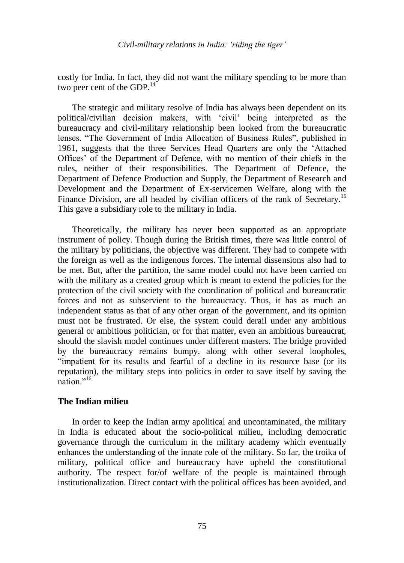costly for India. In fact, they did not want the military spending to be more than two peer cent of the GDP. $^{14}$ 

The strategic and military resolve of India has always been dependent on its political/civilian decision makers, with "civil" being interpreted as the bureaucracy and civil-military relationship been looked from the bureaucratic lenses. "The Government of India Allocation of Business Rules", published in 1961, suggests that the three Services Head Quarters are only the "Attached Offices" of the Department of Defence, with no mention of their chiefs in the rules, neither of their responsibilities. The Department of Defence, the Department of Defence Production and Supply, the Department of Research and Development and the Department of Ex-servicemen Welfare, along with the Finance Division, are all headed by civilian officers of the rank of Secretary.<sup>15</sup> This gave a subsidiary role to the military in India.

Theoretically, the military has never been supported as an appropriate instrument of policy. Though during the British times, there was little control of the military by politicians, the objective was different. They had to compete with the foreign as well as the indigenous forces. The internal dissensions also had to be met. But, after the partition, the same model could not have been carried on with the military as a created group which is meant to extend the policies for the protection of the civil society with the coordination of political and bureaucratic forces and not as subservient to the bureaucracy. Thus, it has as much an independent status as that of any other organ of the government, and its opinion must not be frustrated. Or else, the system could derail under any ambitious general or ambitious politician, or for that matter, even an ambitious bureaucrat, should the slavish model continues under different masters. The bridge provided by the bureaucracy remains bumpy, along with other several loopholes, "impatient for its results and fearful of a decline in its resource base (or its reputation), the military steps into politics in order to save itself by saving the  $n$ ation $^{1,16}$ 

# **The Indian milieu**

In order to keep the Indian army apolitical and uncontaminated, the military in India is educated about the socio-political milieu, including democratic governance through the curriculum in the military academy which eventually enhances the understanding of the innate role of the military. So far, the troika of military, political office and bureaucracy have upheld the constitutional authority. The respect for/of welfare of the people is maintained through institutionalization. Direct contact with the political offices has been avoided, and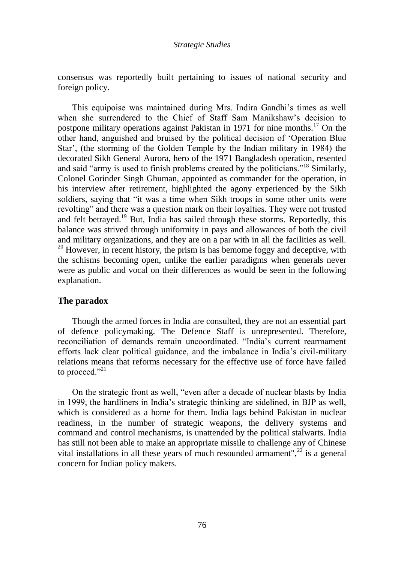consensus was reportedly built pertaining to issues of national security and foreign policy.

This equipoise was maintained during Mrs. Indira Gandhi"s times as well when she surrendered to the Chief of Staff Sam Manikshaw"s decision to postpone military operations against Pakistan in 1971 for nine months.<sup>17</sup> On the other hand, anguished and bruised by the political decision of "Operation Blue Star", (the storming of the Golden Temple by the Indian military in 1984) the decorated Sikh General Aurora, hero of the 1971 Bangladesh operation, resented and said "army is used to finish problems created by the politicians."<sup>18</sup> Similarly, Colonel Gorinder Singh Ghuman, appointed as commander for the operation, in his interview after retirement, highlighted the agony experienced by the Sikh soldiers, saying that "it was a time when Sikh troops in some other units were revolting" and there was a question mark on their loyalties. They were not trusted and felt betrayed.<sup>19</sup> But, India has sailed through these storms. Reportedly, this balance was strived through uniformity in pays and allowances of both the civil and military organizations, and they are on a par with in all the facilities as well.  $20$  However, in recent history, the prism is has bemome foggy and deceptive, with the schisms becoming open, unlike the earlier paradigms when generals never were as public and vocal on their differences as would be seen in the following explanation.

# **The paradox**

Though the armed forces in India are consulted, they are not an essential part of defence policymaking. The Defence Staff is unrepresented. Therefore, reconciliation of demands remain uncoordinated. "India"s current rearmament efforts lack clear political guidance, and the imbalance in India"s civil-military relations means that reforms necessary for the effective use of force have failed to proceed."<sup>21</sup>

On the strategic front as well, "even after a decade of nuclear blasts by India in 1999, the hardliners in India"s strategic thinking are sidelined, in BJP as well, which is considered as a home for them. India lags behind Pakistan in nuclear readiness, in the number of strategic weapons, the delivery systems and command and control mechanisms, is unattended by the political stalwarts. India has still not been able to make an appropriate missile to challenge any of Chinese vital installations in all these years of much resounded armament",<sup>22</sup> is a general concern for Indian policy makers.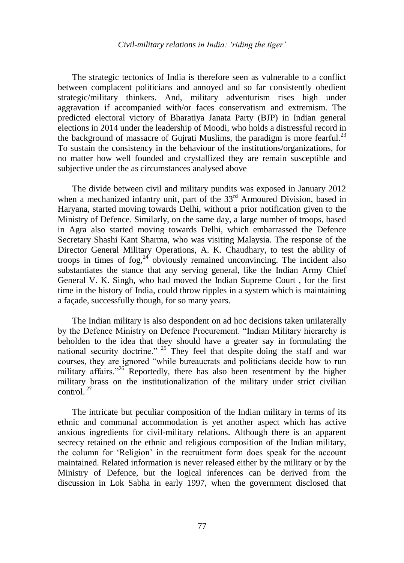The strategic tectonics of India is therefore seen as vulnerable to a conflict between complacent politicians and annoyed and so far consistently obedient strategic/military thinkers. And, military adventurism rises high under aggravation if accompanied with/or faces conservatism and extremism. The predicted electoral victory of Bharatiya Janata Party (BJP) in Indian general elections in 2014 under the leadership of Moodi, who holds a distressful record in the background of massacre of Gujrati Muslims, the paradigm is more fearful.<sup>23</sup> To sustain the consistency in the behaviour of the institutions/organizations, for no matter how well founded and crystallized they are remain susceptible and subjective under the as circumstances analysed above

The divide between civil and military pundits was exposed in January 2012 when a mechanized infantry unit, part of the 33<sup>rd</sup> Armoured Division, based in Haryana, started moving towards Delhi, without a prior notification given to the Ministry of Defence. Similarly, on the same day, a large number of troops, based in Agra also started moving towards Delhi, which embarrassed the Defence Secretary Shashi Kant Sharma, who was visiting Malaysia. The response of the Director General Military Operations, A. K. Chaudhary, to test the ability of troops in times of fog, $2^4$  obviously remained unconvincing. The incident also substantiates the stance that any serving general, like the Indian Army Chief General V. K. Singh, who had moved the Indian Supreme Court , for the first time in the history of India, could throw ripples in a system which is maintaining a façade, successfully though, for so many years.

The Indian military is also despondent on ad hoc decisions taken unilaterally by the Defence Ministry on Defence Procurement. "Indian Military hierarchy is beholden to the idea that they should have a greater say in formulating the national security doctrine." <sup>25</sup> They feel that despite doing the staff and war courses, they are ignored "while bureaucrats and politicians decide how to run military affairs."<sup>26</sup> Reportedly, there has also been resentment by the higher military brass on the institutionalization of the military under strict civilian control.  $27$ 

The intricate but peculiar composition of the Indian military in terms of its ethnic and communal accommodation is yet another aspect which has active anxious ingredients for civil-military relations. Although there is an apparent secrecy retained on the ethnic and religious composition of the Indian military, the column for "Religion" in the recruitment form does speak for the account maintained. Related information is never released either by the military or by the Ministry of Defence, but the logical inferences can be derived from the discussion in Lok Sabha in early 1997, when the government disclosed that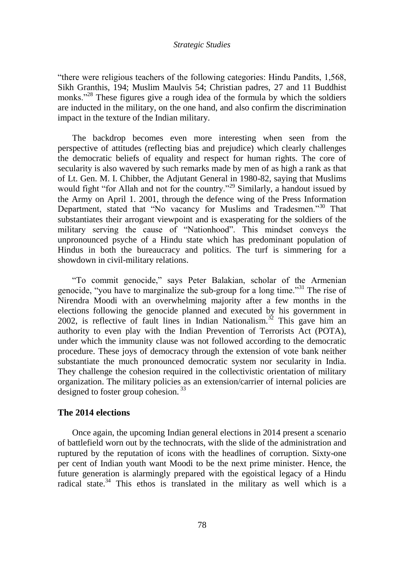"there were religious teachers of the following categories: Hindu Pandits, 1,568, Sikh Granthis, 194; Muslim Maulvis 54; Christian padres, 27 and 11 Buddhist monks."<sup>28</sup> These figures give a rough idea of the formula by which the soldiers are inducted in the military, on the one hand, and also confirm the discrimination impact in the texture of the Indian military.

The backdrop becomes even more interesting when seen from the perspective of attitudes (reflecting bias and prejudice) which clearly challenges the democratic beliefs of equality and respect for human rights. The core of secularity is also wavered by such remarks made by men of as high a rank as that of Lt. Gen. M. I. Chibber, the Adjutant General in 1980-82, saying that Muslims would fight "for Allah and not for the country."<sup>29</sup> Similarly, a handout issued by the Army on April 1. 2001, through the defence wing of the Press Information Department, stated that "No vacancy for Muslims and Tradesmen."<sup>30</sup> That substantiates their arrogant viewpoint and is exasperating for the soldiers of the military serving the cause of "Nationhood". This mindset conveys the unpronounced psyche of a Hindu state which has predominant population of Hindus in both the bureaucracy and politics. The turf is simmering for a showdown in civil-military relations.

"To commit genocide," says Peter Balakian, scholar of the Armenian genocide, "you have to marginalize the sub-group for a long time."<sup>31</sup> The rise of Nirendra Moodi with an overwhelming majority after a few months in the elections following the genocide planned and executed by his government in 2002, is reflective of fault lines in Indian Nationalism.<sup>32</sup> This gave him an authority to even play with the Indian Prevention of Terrorists Act (POTA), under which the immunity clause was not followed according to the democratic procedure. These joys of democracy through the extension of vote bank neither substantiate the much pronounced democratic system nor secularity in India. They challenge the cohesion required in the collectivistic orientation of military organization. The military policies as an extension/carrier of internal policies are designed to foster group cohesion.  $33$ 

# **The 2014 elections**

Once again, the upcoming Indian general elections in 2014 present a scenario of battlefield worn out by the technocrats, with the slide of the administration and ruptured by the reputation of icons with the headlines of corruption. Sixty-one per cent of Indian youth want Moodi to be the next prime minister. Hence, the future generation is alarmingly prepared with the egoistical legacy of a Hindu radical state.<sup>34</sup> This ethos is translated in the military as well which is a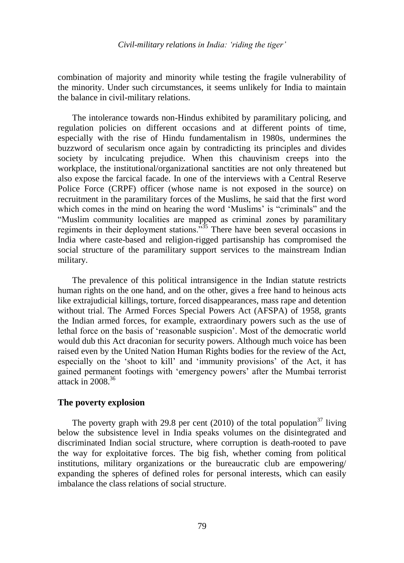### *Civil-military relations in India: 'riding the tiger'*

combination of majority and minority while testing the fragile vulnerability of the minority. Under such circumstances, it seems unlikely for India to maintain the balance in civil-military relations.

The intolerance towards non-Hindus exhibited by paramilitary policing, and regulation policies on different occasions and at different points of time, especially with the rise of Hindu fundamentalism in 1980s, undermines the buzzword of secularism once again by contradicting its principles and divides society by inculcating prejudice. When this chauvinism creeps into the workplace, the institutional/organizational sanctities are not only threatened but also expose the farcical facade. In one of the interviews with a Central Reserve Police Force (CRPF) officer (whose name is not exposed in the source) on recruitment in the paramilitary forces of the Muslims, he said that the first word which comes in the mind on hearing the word 'Muslims' is "criminals" and the "Muslim community localities are mapped as criminal zones by paramilitary regiments in their deployment stations.<sup> $35$ </sup> There have been several occasions in India where caste-based and religion-rigged partisanship has compromised the social structure of the paramilitary support services to the mainstream Indian military.

The prevalence of this political intransigence in the Indian statute restricts human rights on the one hand, and on the other, gives a free hand to heinous acts like extrajudicial killings, torture, forced disappearances, mass rape and detention without trial. The Armed Forces Special Powers Act (AFSPA) of 1958, grants the Indian armed forces, for example, extraordinary powers such as the use of lethal force on the basis of "reasonable suspicion". Most of the democratic world would dub this Act draconian for security powers. Although much voice has been raised even by the United Nation Human Rights bodies for the review of the Act, especially on the "shoot to kill" and "immunity provisions" of the Act, it has gained permanent footings with "emergency powers" after the Mumbai terrorist attack in  $2008^{36}$ 

### **The poverty explosion**

The poverty graph with 29.8 per cent (2010) of the total population<sup>37</sup> living below the subsistence level in India speaks volumes on the disintegrated and discriminated Indian social structure, where corruption is death-rooted to pave the way for exploitative forces. The big fish, whether coming from political institutions, military organizations or the bureaucratic club are empowering/ expanding the spheres of defined roles for personal interests, which can easily imbalance the class relations of social structure.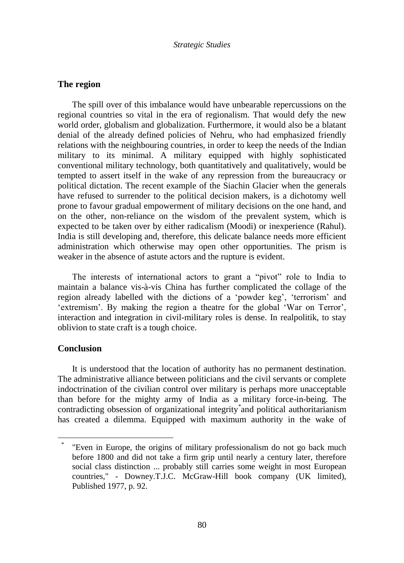# **The region**

The spill over of this imbalance would have unbearable repercussions on the regional countries so vital in the era of regionalism. That would defy the new world order, globalism and globalization. Furthermore, it would also be a blatant denial of the already defined policies of Nehru, who had emphasized friendly relations with the neighbouring countries, in order to keep the needs of the Indian military to its minimal. A military equipped with highly sophisticated conventional military technology, both quantitatively and qualitatively, would be tempted to assert itself in the wake of any repression from the bureaucracy or political dictation. The recent example of the Siachin Glacier when the generals have refused to surrender to the political decision makers, is a dichotomy well prone to favour gradual empowerment of military decisions on the one hand, and on the other, non-reliance on the wisdom of the prevalent system, which is expected to be taken over by either radicalism (Moodi) or inexperience (Rahul). India is still developing and, therefore, this delicate balance needs more efficient administration which otherwise may open other opportunities. The prism is weaker in the absence of astute actors and the rupture is evident.

The interests of international actors to grant a "pivot" role to India to maintain a balance vis-à-vis China has further complicated the collage of the region already labelled with the dictions of a 'powder keg', 'terrorism' and 'extremism'. By making the region a theatre for the global 'War on Terror', interaction and integration in civil-military roles is dense. In realpolitik, to stay oblivion to state craft is a tough choice.

# **Conclusion**

 $\overline{a}$ 

It is understood that the location of authority has no permanent destination. The administrative alliance between politicians and the civil servants or complete indoctrination of the civilian control over military is perhaps more unacceptable than before for the mighty army of India as a military force-in-being. The contradicting obsession of organizational integrity\* and political authoritarianism has created a dilemma. Equipped with maximum authority in the wake of

<sup>\*</sup> "Even in Europe, the origins of military professionalism do not go back much before 1800 and did not take a firm grip until nearly a century later, therefore social class distinction ... probably still carries some weight in most European countries," - Downey.T.J.C. McGraw-Hill book company (UK limited), Published 1977, p. 92.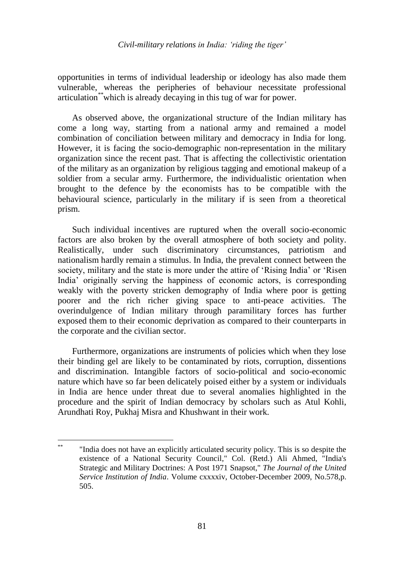### *Civil-military relations in India: 'riding the tiger'*

opportunities in terms of individual leadership or ideology has also made them vulnerable, whereas the peripheries of behaviour necessitate professional articulation\*\*which is already decaying in this tug of war for power.

As observed above, the organizational structure of the Indian military has come a long way, starting from a national army and remained a model combination of conciliation between military and democracy in India for long. However, it is facing the socio-demographic non-representation in the military organization since the recent past. That is affecting the collectivistic orientation of the military as an organization by religious tagging and emotional makeup of a soldier from a secular army. Furthermore, the individualistic orientation when brought to the defence by the economists has to be compatible with the behavioural science, particularly in the military if is seen from a theoretical prism.

Such individual incentives are ruptured when the overall socio-economic factors are also broken by the overall atmosphere of both society and polity. Realistically, under such discriminatory circumstances, patriotism and nationalism hardly remain a stimulus. In India, the prevalent connect between the society, military and the state is more under the attire of "Rising India" or "Risen India" originally serving the happiness of economic actors, is corresponding weakly with the poverty stricken demography of India where poor is getting poorer and the rich richer giving space to anti-peace activities. The overindulgence of Indian military through paramilitary forces has further exposed them to their economic deprivation as compared to their counterparts in the corporate and the civilian sector.

Furthermore, organizations are instruments of policies which when they lose their binding gel are likely to be contaminated by riots, corruption, dissentions and discrimination. Intangible factors of socio-political and socio-economic nature which have so far been delicately poised either by a system or individuals in India are hence under threat due to several anomalies highlighted in the procedure and the spirit of Indian democracy by scholars such as Atul Kohli, Arundhati Roy, Pukhaj Misra and Khushwant in their work.

 $\frac{1}{2}$ \*\* "India does not have an explicitly articulated security policy. This is so despite the existence of a National Security Council," Col. (Retd.) Ali Ahmed, "India's Strategic and Military Doctrines: A Post 1971 Snapsot," *The Journal of the United Service Institution of India*. Volume cxxxxiv, October-December 2009, No.578,p. 505.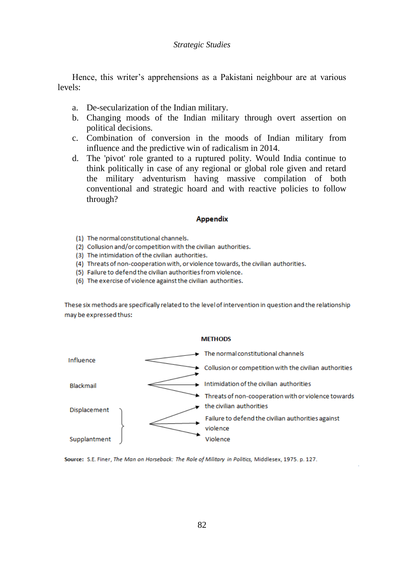Hence, this writer's apprehensions as a Pakistani neighbour are at various levels:

- a. De-secularization of the Indian military.
- b. Changing moods of the Indian military through overt assertion on political decisions.
- c. Combination of conversion in the moods of Indian military from influence and the predictive win of radicalism in 2014.
- d. The 'pivot' role granted to a ruptured polity. Would India continue to think politically in case of any regional or global role given and retard the military adventurism having massive compilation of both conventional and strategic hoard and with reactive policies to follow through?

### **Appendix**

- (1) The normal constitutional channels.
- (2) Collusion and/or competition with the civilian authorities.
- (3) The intimidation of the civilian authorities.
- (4) Threats of non-cooperation with, or violence towards, the civilian authorities.
- (5) Failure to defend the civilian authorities from violence.
- (6) The exercise of violence against the civilian authorities.

These six methods are specifically related to the level of intervention in question and the relationship may be expressed thus:



Source: S.E. Finer, The Man on Horseback: The Role of Military in Politics, Middlesex, 1975. p. 127.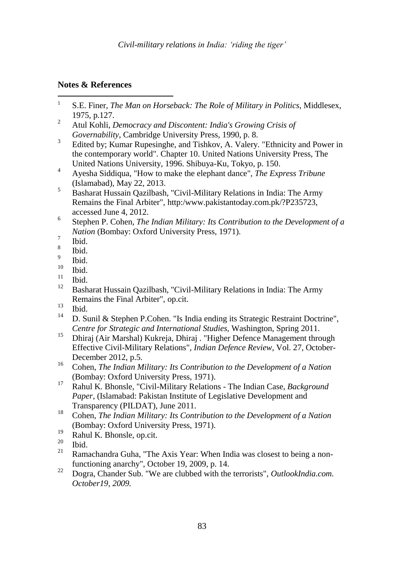# **Notes & References**

- $\frac{1}{1}$ S.E. Finer, *The Man on Horseback: The Role of Military in Politics,* Middlesex, 1975, p.127.
- <sup>2</sup> Atul Kohli, *Democracy and Discontent: India's Growing Crisis of Governability*, Cambridge University Press, 1990, p. 8.
- 3 Edited by; Kumar Rupesinghe, and Tishkov, A. Valery. "Ethnicity and Power in the contemporary world". Chapter 10. United Nations University Press, The United Nations University, 1996. Shibuya-Ku, Tokyo, p. 150.
- <sup>4</sup> Ayesha Siddiqua, "How to make the elephant dance", *The Express Tribune*  (Islamabad), May 22, 2013.
- <sup>5</sup> Basharat Hussain Qazilbash, "Civil-Military Relations in India: The Army Remains the Final Arbiter", http:/www.pakistantoday.com.pk/?P235723, accessed June 4, 2012.
- 6 Stephen P. Cohen, *The Indian Military: Its Contribution to the Development of a Nation* (Bombay: Oxford University Press, 1971).
- 7 Ibid.
- 8 Ibid.
- 9 Ibid.
- $\frac{10}{11}$  Ibid.
- $\frac{11}{12}$  Ibid.
- <sup>12</sup> Basharat Hussain Qazilbash, "Civil-Military Relations in India: The Army Remains the Final Arbiter", op.cit.
- $\frac{13}{14}$  Ibid.
- D. Sunil & Stephen P.Cohen. "Is India ending its Strategic Restraint Doctrine", *Centre for Strategic and International Studies,* Washington, Spring 2011.
- <sup>15</sup> Dhiraj (Air Marshal) Kukreja, Dhiraj . "Higher Defence Management through Effective Civil-Military Relations", *Indian Defence Review*, Vol. 27, October-December 2012, p.5.
- <sup>16</sup> Cohen, *The Indian Military: Its Contribution to the Development of a Nation* (Bombay: Oxford University Press, 1971).
- <sup>17</sup> Rahul K. Bhonsle, "Civil-Military Relations The Indian Case, *Background Paper,* (Islamabad: Pakistan Institute of Legislative Development and Transparency (PILDAT), June 2011.
- <sup>18</sup> Cohen, *The Indian Military: Its Contribution to the Development of a Nation* (Bombay: Oxford University Press, 1971).
- $19$  Rahul K. Bhonsle, op.cit.
- $\frac{20}{21}$  Ibid.
- Ramachandra Guha, "The Axis Year: When India was closest to being a nonfunctioning anarchy", October 19, 2009, p. 14.
- <sup>22</sup> Dogra, Chander Sub. "We are clubbed with the terrorists", *OutlookIndia.com. October19, 2009.*